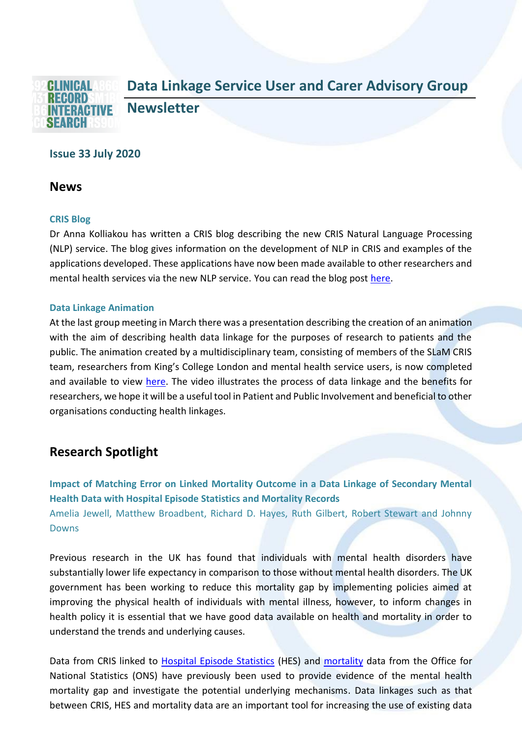

# **Issue 33 July 2020**

### **News**

### **CRIS Blog**

Dr Anna Kolliakou has written a CRIS blog describing the new CRIS Natural Language Processing (NLP) service. The blog gives information on the development of NLP in CRIS and examples of the applications developed. These applications have now been made available to other researchers and mental health services via the new NLP service. You can read the blog post [here.](https://www.maudsleybrc.nihr.ac.uk/posts/2020/june/introducing-the-cris-natural-language-processing-nlp-service/)

#### **Data Linkage Animation**

At the last group meeting in March there was a presentation describing the creation of an animation with the aim of describing health data linkage for the purposes of research to patients and the public. The animation created by a multidisciplinary team, consisting of members of the SLaM CRIS team, researchers from King's College London and mental health service users, is now completed and available to view [here.](https://www.maudsleybrc.nihr.ac.uk/posts/2020/july/data-linkages-animation-explores-the-evolution-of-healthcare-records-in-research/) The video illustrates the process of data linkage and the benefits for researchers, we hope it will be a useful tool in Patient and Public Involvement and beneficial to other organisations conducting health linkages.

# **Research Spotlight**

**Impact of Matching Error on Linked Mortality Outcome in a Data Linkage of Secondary Mental Health Data with Hospital Episode Statistics and Mortality Records** Amelia Jewell, Matthew Broadbent, Richard D. Hayes, Ruth Gilbert, Robert Stewart and Johnny Downs

Previous research in the UK has found that individuals with mental health disorders have substantially lower life expectancy in comparison to those without mental health disorders. The UK government has been working to reduce this mortality gap by implementing policies aimed at improving the physical health of individuals with mental illness, however, to inform changes in health policy it is essential that we have good data available on health and mortality in order to understand the trends and underlying causes.

Data from CRIS linked to [Hospital Episode Statistics](https://digital.nhs.uk/data-and-information/data-tools-and-services/data-services/hospital-episode-statistics) (HES) and [mortality](https://digital.nhs.uk/services/primary-care-mortality-database) data from the Office for National Statistics (ONS) have previously been used to provide evidence of the mental health mortality gap and investigate the potential underlying mechanisms. Data linkages such as that between CRIS, HES and mortality data are an important tool for increasing the use of existing data